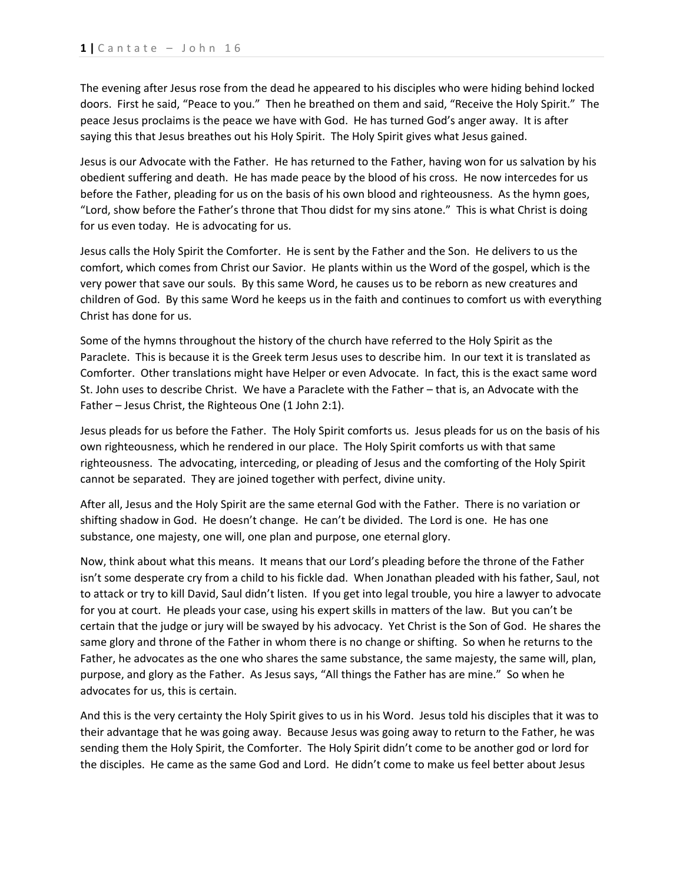The evening after Jesus rose from the dead he appeared to his disciples who were hiding behind locked doors. First he said, "Peace to you." Then he breathed on them and said, "Receive the Holy Spirit." The peace Jesus proclaims is the peace we have with God. He has turned God's anger away. It is after saying this that Jesus breathes out his Holy Spirit. The Holy Spirit gives what Jesus gained.

Jesus is our Advocate with the Father. He has returned to the Father, having won for us salvation by his obedient suffering and death. He has made peace by the blood of his cross. He now intercedes for us before the Father, pleading for us on the basis of his own blood and righteousness. As the hymn goes, "Lord, show before the Father's throne that Thou didst for my sins atone." This is what Christ is doing for us even today. He is advocating for us.

Jesus calls the Holy Spirit the Comforter. He is sent by the Father and the Son. He delivers to us the comfort, which comes from Christ our Savior. He plants within us the Word of the gospel, which is the very power that save our souls. By this same Word, he causes us to be reborn as new creatures and children of God. By this same Word he keeps us in the faith and continues to comfort us with everything Christ has done for us.

Some of the hymns throughout the history of the church have referred to the Holy Spirit as the Paraclete. This is because it is the Greek term Jesus uses to describe him. In our text it is translated as Comforter. Other translations might have Helper or even Advocate. In fact, this is the exact same word St. John uses to describe Christ. We have a Paraclete with the Father – that is, an Advocate with the Father – Jesus Christ, the Righteous One (1 John 2:1).

Jesus pleads for us before the Father. The Holy Spirit comforts us. Jesus pleads for us on the basis of his own righteousness, which he rendered in our place. The Holy Spirit comforts us with that same righteousness. The advocating, interceding, or pleading of Jesus and the comforting of the Holy Spirit cannot be separated. They are joined together with perfect, divine unity.

After all, Jesus and the Holy Spirit are the same eternal God with the Father. There is no variation or shifting shadow in God. He doesn't change. He can't be divided. The Lord is one. He has one substance, one majesty, one will, one plan and purpose, one eternal glory.

Now, think about what this means. It means that our Lord's pleading before the throne of the Father isn't some desperate cry from a child to his fickle dad. When Jonathan pleaded with his father, Saul, not to attack or try to kill David, Saul didn't listen. If you get into legal trouble, you hire a lawyer to advocate for you at court. He pleads your case, using his expert skills in matters of the law. But you can't be certain that the judge or jury will be swayed by his advocacy. Yet Christ is the Son of God. He shares the same glory and throne of the Father in whom there is no change or shifting. So when he returns to the Father, he advocates as the one who shares the same substance, the same majesty, the same will, plan, purpose, and glory as the Father. As Jesus says, "All things the Father has are mine." So when he advocates for us, this is certain.

And this is the very certainty the Holy Spirit gives to us in his Word. Jesus told his disciples that it was to their advantage that he was going away. Because Jesus was going away to return to the Father, he was sending them the Holy Spirit, the Comforter. The Holy Spirit didn't come to be another god or lord for the disciples. He came as the same God and Lord. He didn't come to make us feel better about Jesus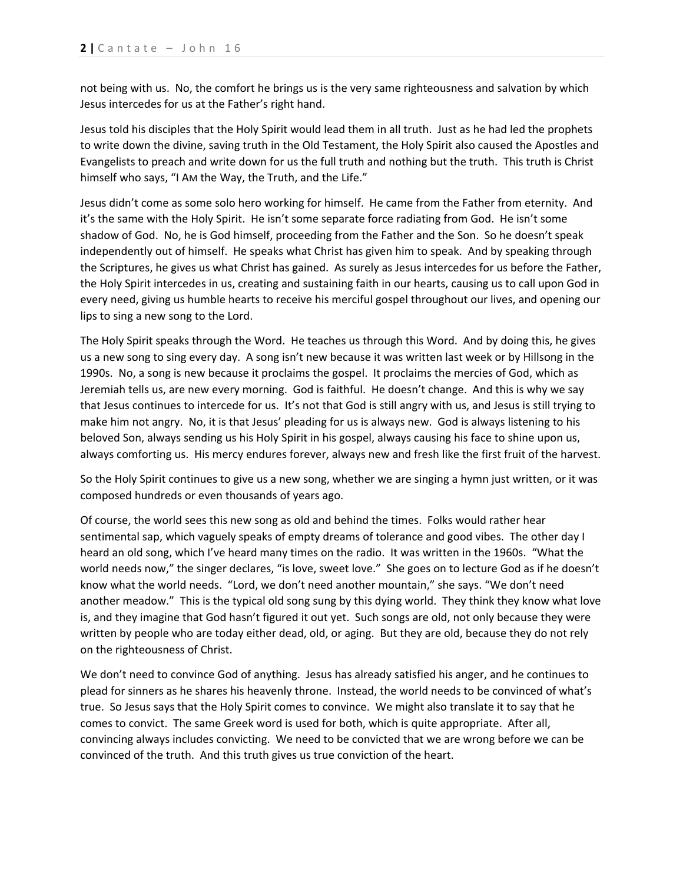not being with us. No, the comfort he brings us is the very same righteousness and salvation by which Jesus intercedes for us at the Father's right hand.

Jesus told his disciples that the Holy Spirit would lead them in all truth. Just as he had led the prophets to write down the divine, saving truth in the Old Testament, the Holy Spirit also caused the Apostles and Evangelists to preach and write down for us the full truth and nothing but the truth. This truth is Christ himself who says, "I AM the Way, the Truth, and the Life."

Jesus didn't come as some solo hero working for himself. He came from the Father from eternity. And it's the same with the Holy Spirit. He isn't some separate force radiating from God. He isn't some shadow of God. No, he is God himself, proceeding from the Father and the Son. So he doesn't speak independently out of himself. He speaks what Christ has given him to speak. And by speaking through the Scriptures, he gives us what Christ has gained. As surely as Jesus intercedes for us before the Father, the Holy Spirit intercedes in us, creating and sustaining faith in our hearts, causing us to call upon God in every need, giving us humble hearts to receive his merciful gospel throughout our lives, and opening our lips to sing a new song to the Lord.

The Holy Spirit speaks through the Word. He teaches us through this Word. And by doing this, he gives us a new song to sing every day. A song isn't new because it was written last week or by Hillsong in the 1990s. No, a song is new because it proclaims the gospel. It proclaims the mercies of God, which as Jeremiah tells us, are new every morning. God is faithful. He doesn't change. And this is why we say that Jesus continues to intercede for us. It's not that God is still angry with us, and Jesus is still trying to make him not angry. No, it is that Jesus' pleading for us is always new. God is always listening to his beloved Son, always sending us his Holy Spirit in his gospel, always causing his face to shine upon us, always comforting us. His mercy endures forever, always new and fresh like the first fruit of the harvest.

So the Holy Spirit continues to give us a new song, whether we are singing a hymn just written, or it was composed hundreds or even thousands of years ago.

Of course, the world sees this new song as old and behind the times. Folks would rather hear sentimental sap, which vaguely speaks of empty dreams of tolerance and good vibes. The other day I heard an old song, which I've heard many times on the radio. It was written in the 1960s. "What the world needs now," the singer declares, "is love, sweet love." She goes on to lecture God as if he doesn't know what the world needs. "Lord, we don't need another mountain," she says. "We don't need another meadow." This is the typical old song sung by this dying world. They think they know what love is, and they imagine that God hasn't figured it out yet. Such songs are old, not only because they were written by people who are today either dead, old, or aging. But they are old, because they do not rely on the righteousness of Christ.

We don't need to convince God of anything. Jesus has already satisfied his anger, and he continues to plead for sinners as he shares his heavenly throne. Instead, the world needs to be convinced of what's true. So Jesus says that the Holy Spirit comes to convince. We might also translate it to say that he comes to convict. The same Greek word is used for both, which is quite appropriate. After all, convincing always includes convicting. We need to be convicted that we are wrong before we can be convinced of the truth. And this truth gives us true conviction of the heart.